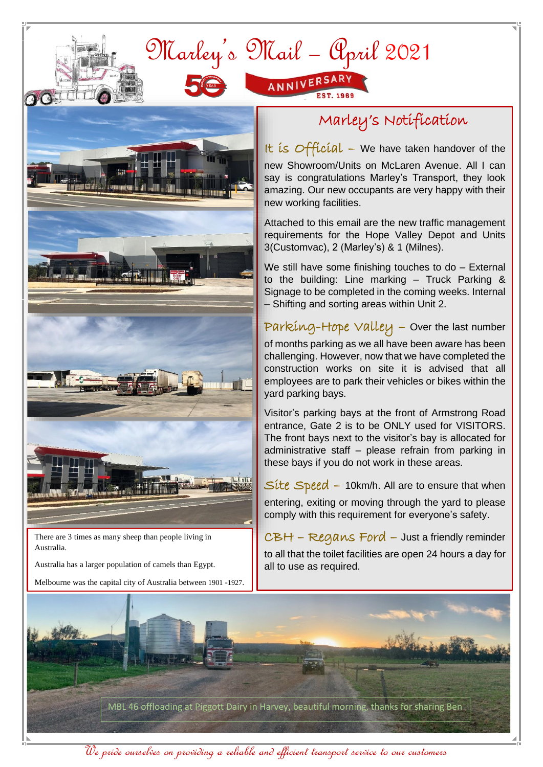



 $\Omega$ 

There are 3 times as many sheep than people living in Australia.

Australia has a larger population of camels than Egypt.

Melbourne was the capital city of Australia between 1901 -1927.

## Marley's Notification

It is Official – We have taken handover of the new Showroom/Units on McLaren Avenue. All I can say is congratulations Marley's Transport, they look amazing. Our new occupants are very happy with their new working facilities.

Attached to this email are the new traffic management requirements for the Hope Valley Depot and Units 3(Customvac), 2 (Marley's) & 1 (Milnes).

We still have some finishing touches to do - External to the building: Line marking – Truck Parking & Signage to be completed in the coming weeks. Internal – Shifting and sorting areas within Unit 2.

Parking-Hope Valley – Over the last number of months parking as we all have been aware has been challenging. However, now that we have completed the construction works on site it is advised that all employees are to park their vehicles or bikes within the yard parking bays.

Visitor's parking bays at the front of Armstrong Road entrance, Gate 2 is to be ONLY used for VISITORS. The front bays next to the visitor's bay is allocated for administrative staff – please refrain from parking in these bays if you do not work in these areas.

 $Site Speed - 10km/h$ . All are to ensure that when entering, exiting or moving through the yard to please comply with this requirement for everyone's safety.

CBH – Regans Ford – Just a friendly reminder to all that the toilet facilities are open 24 hours a day for all to use as required.



We pride ourselves on providing a reliable and efficient transport service to our customers